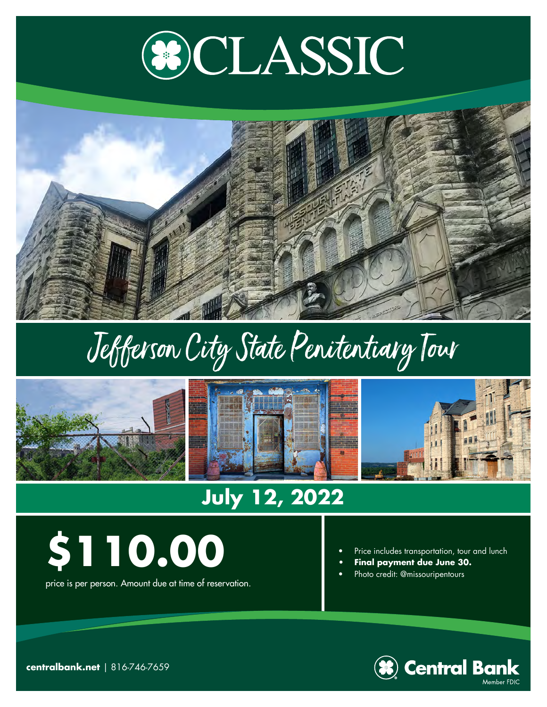



## Jefferson City State Penitentiary Tour



## **July 12, 2022**



price is per person. Amount due at time of reservation.

- Price includes transportation, tour and lunch
- **• Final payment due June 30.**
- Photo credit: @missouripentours